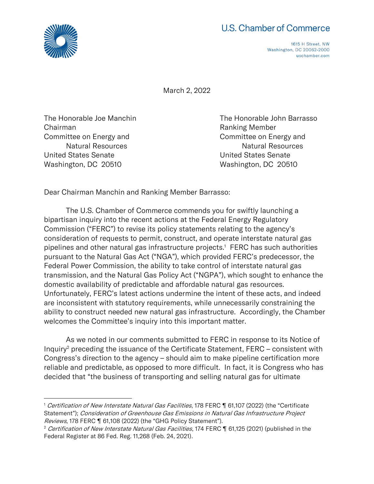

## U.S. Chamber of Commerce

1615 H Street, NW Washington, DC 20062-2000 uschamber.com

March 2, 2022

Chairman **Chairman** Chairman **Ranking Member** United States Senate United States Senate Washington, DC 20510 Washington, DC 20510

The Honorable Joe Manchin The Honorable John Barrasso Committee on Energy and Committee on Energy and Natural Resources Natural Resources

Dear Chairman Manchin and Ranking Member Barrasso:

The U.S. Chamber of Commerce commends you for swiftly launching a bipartisan inquiry into the recent actions at the Federal Energy Regulatory Commission ("FERC") to revise its policy statements relating to the agency's consideration of requests to permit, construct, and operate interstate natural gas pipelines and other natural gas infrastructure projects.<sup>1</sup> FERC has such authorities pursuant to the Natural Gas Act ("NGA"), which provided FERC's predecessor, the Federal Power Commission, the ability to take control of interstate natural gas transmission, and the Natural Gas Policy Act ("NGPA"), which sought to enhance the domestic availability of predictable and affordable natural gas resources. Unfortunately, FERC's latest actions undermine the intent of these acts, and indeed are inconsistent with statutory requirements, while unnecessarily constraining the ability to construct needed new natural gas infrastructure. Accordingly, the Chamber welcomes the Committee's inquiry into this important matter.

 As we noted in our comments submitted to FERC in response to its Notice of Inquiry<sup>2</sup> preceding the issuance of the Certificate Statement, FERC – consistent with Congress's direction to the agency – should aim to make pipeline certification more reliable and predictable, as opposed to more difficult. In fact, it is Congress who has decided that "the business of transporting and selling natural gas for ultimate

<sup>&</sup>lt;sup>1</sup> Certification of New Interstate Natural Gas Facilities, 178 FERC ¶ 61,107 (2022) (the "Certificate Statement"); Consideration of Greenhouse Gas Emissions in Natural Gas Infrastructure Project Reviews, 178 FERC | 61,108 (2022) (the "GHG Policy Statement").

<sup>&</sup>lt;sup>2</sup> Certification of New Interstate Natural Gas Facilities, 174 FERC ¶ 61,125 (2021) (published in the Federal Register at 86 Fed. Reg. 11,268 (Feb. 24, 2021).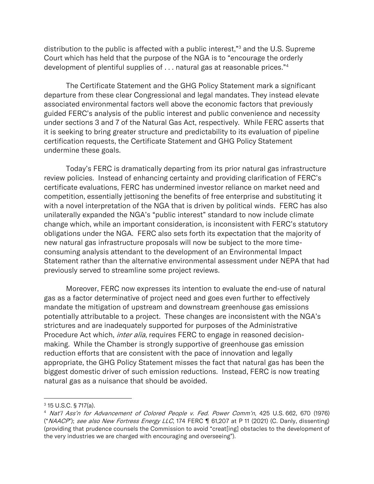distribution to the public is affected with a public interest,"<sup>3</sup> and the U.S. Supreme Court which has held that the purpose of the NGA is to "encourage the orderly development of plentiful supplies of . . . natural gas at reasonable prices."<sup>4</sup>

The Certificate Statement and the GHG Policy Statement mark a significant departure from these clear Congressional and legal mandates. They instead elevate associated environmental factors well above the economic factors that previously guided FERC's analysis of the public interest and public convenience and necessity under sections 3 and 7 of the Natural Gas Act, respectively. While FERC asserts that it is seeking to bring greater structure and predictability to its evaluation of pipeline certification requests, the Certificate Statement and GHG Policy Statement undermine these goals.

Today's FERC is dramatically departing from its prior natural gas infrastructure review policies. Instead of enhancing certainty and providing clarification of FERC's certificate evaluations, FERC has undermined investor reliance on market need and competition, essentially jettisoning the benefits of free enterprise and substituting it with a novel interpretation of the NGA that is driven by political winds. FERC has also unilaterally expanded the NGA's "public interest" standard to now include climate change which, while an important consideration, is inconsistent with FERC's statutory obligations under the NGA. FERC also sets forth its expectation that the majority of new natural gas infrastructure proposals will now be subject to the more timeconsuming analysis attendant to the development of an Environmental Impact Statement rather than the alternative environmental assessment under NEPA that had previously served to streamline some project reviews.

Moreover, FERC now expresses its intention to evaluate the end-use of natural gas as a factor determinative of project need and goes even further to effectively mandate the mitigation of upstream and downstream greenhouse gas emissions potentially attributable to a project. These changes are inconsistent with the NGA's strictures and are inadequately supported for purposes of the Administrative Procedure Act which, *inter alia*, requires FERC to engage in reasoned decisionmaking. While the Chamber is strongly supportive of greenhouse gas emission reduction efforts that are consistent with the pace of innovation and legally appropriate, the GHG Policy Statement misses the fact that natural gas has been the biggest domestic driver of such emission reductions. Instead, FERC is now treating natural gas as a nuisance that should be avoided.

<sup>3</sup> 15 U.S.C. § 717(a).

<sup>4</sup> Nat'l Ass'n for Advancement of Colored People v. Fed. Power Comm'n, 425 U.S. 662, 670 (1976) ("NAACP"); see also New Fortress Energy LLC, 174 FERC ¶ 61,207 at P 11 (2021) (C. Danly, dissenting) (providing that prudence counsels the Commission to avoid "creat[ing] obstacles to the development of the very industries we are charged with encouraging and overseeing").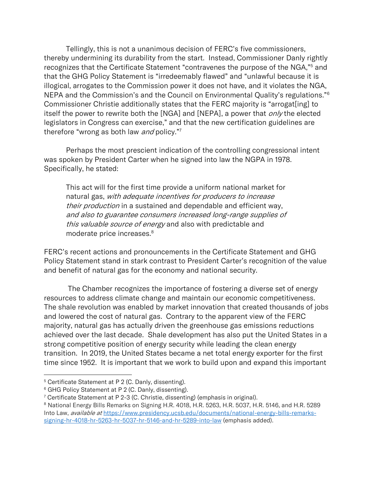Tellingly, this is not a unanimous decision of FERC's five commissioners, thereby undermining its durability from the start. Instead, Commissioner Danly rightly recognizes that the Certificate Statement "contravenes the purpose of the NGA,"<sup>5</sup> and that the GHG Policy Statement is "irredeemably flawed" and "unlawful because it is illogical, arrogates to the Commission power it does not have, and it violates the NGA, NEPA and the Commission's and the Council on Environmental Quality's regulations."<sup>6</sup> Commissioner Christie additionally states that the FERC majority is "arrogat[ing] to itself the power to rewrite both the [NGA] and [NEPA], a power that *only* the elected legislators in Congress can exercise," and that the new certification guidelines are therefore "wrong as both law and policy."7

Perhaps the most prescient indication of the controlling congressional intent was spoken by President Carter when he signed into law the NGPA in 1978. Specifically, he stated:

This act will for the first time provide a uniform national market for natural gas, with adequate incentives for producers to increase their production in a sustained and dependable and efficient way, and also to guarantee consumers increased long-range supplies of this valuable source of energy and also with predictable and moderate price increases.<sup>8</sup>

FERC's recent actions and pronouncements in the Certificate Statement and GHG Policy Statement stand in stark contrast to President Carter's recognition of the value and benefit of natural gas for the economy and national security.

The Chamber recognizes the importance of fostering a diverse set of energy resources to address climate change and maintain our economic competitiveness. The shale revolution was enabled by market innovation that created thousands of jobs and lowered the cost of natural gas. Contrary to the apparent view of the FERC majority, natural gas has actually driven the greenhouse gas emissions reductions achieved over the last decade. Shale development has also put the United States in a strong competitive position of energy security while leading the clean energy transition. In 2019, the United States became a net total energy exporter for the first time since 1952. It is important that we work to build upon and expand this important

<sup>&</sup>lt;sup>5</sup> Certificate Statement at P 2 (C. Danly, dissenting).

<sup>&</sup>lt;sup>6</sup> GHG Policy Statement at P 2 (C. Danly, dissenting).

<sup>7</sup> Certificate Statement at P 2-3 (C. Christie, dissenting) (emphasis in original).

<sup>8</sup> National Energy Bills Remarks on Signing H.R. 4018, H.R. 5263, H.R. 5037, H.R. 5146, and H.R. 5289 Into Law, available at [https://www.presidency.ucsb.edu/documents/national-energy-bills-remarks](https://www.presidency.ucsb.edu/documents/national-energy-bills-remarks-signing-hr-4018-hr-5263-hr-5037-hr-5146-and-hr-5289-into-law)[signing-hr-4018-hr-5263-hr-5037-hr-5146-and-hr-5289-into-law](https://www.presidency.ucsb.edu/documents/national-energy-bills-remarks-signing-hr-4018-hr-5263-hr-5037-hr-5146-and-hr-5289-into-law) (emphasis added).